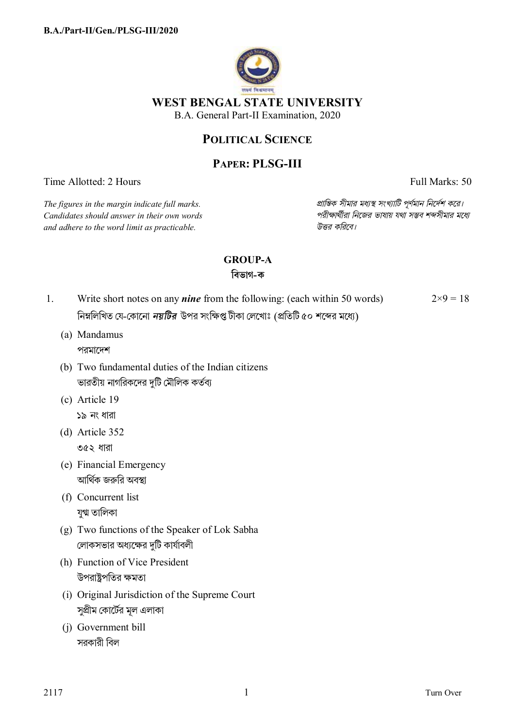

### **POLITICAL SCIENCE**

# **PAPER: PLSG-III**

Time Allotted: 2 Hours Full Marks: 50

*Candidates should answer in their own words পরীkাথীরা িনেজর ভাষায় যথা সmব শbসীমার মেধ° and adhere to the word limit as practicable. উtর কিরেব।*

*The figures in the margin indicate full marks. pািnক সীমার মধ°s সংখ°ািট পূণমান িনেদশ কের।*

# **GROUP-A**

### **িবভাগ-ক**

- 1. Write short notes on any *nine* from the following: (each within 50 words) নিম্নলিখিত যে-কোনো *নয়টির* উপর সংক্ষিপ্ত টীকা লেখোঃ (প্রতিটি ৫০ শব্দের মধ্যে)  $2\times9=18$ 
	- (a) Mandamus পরমােদশ
	- (b) Two fundamental duties of the Indian citizens ভারতীয় নাগরিকদের দুটি মৌলিক কর্তব্য
	- (c) Article 19 ১৯ নং ধারা
	- (d) Article 352 ৩৫২ ধারা
	- (e) Financial Emergency আর্থিক জরুরি অবস্থা
	- (f) Concurrent list যুগ্ম তালিকা
	- (g) Two functions of the Speaker of Lok Sabha লোকসভার অধ্যক্ষের দটি কার্যাবলী
	- (h) Function of Vice President উপরাষ্ট্রপতির ক্ষমতা
	- (i) Original Jurisdiction of the Supreme Court সুপ্রীম কোর্টের মূল এলাকা
	- (j) Government bill সরকারী বিল